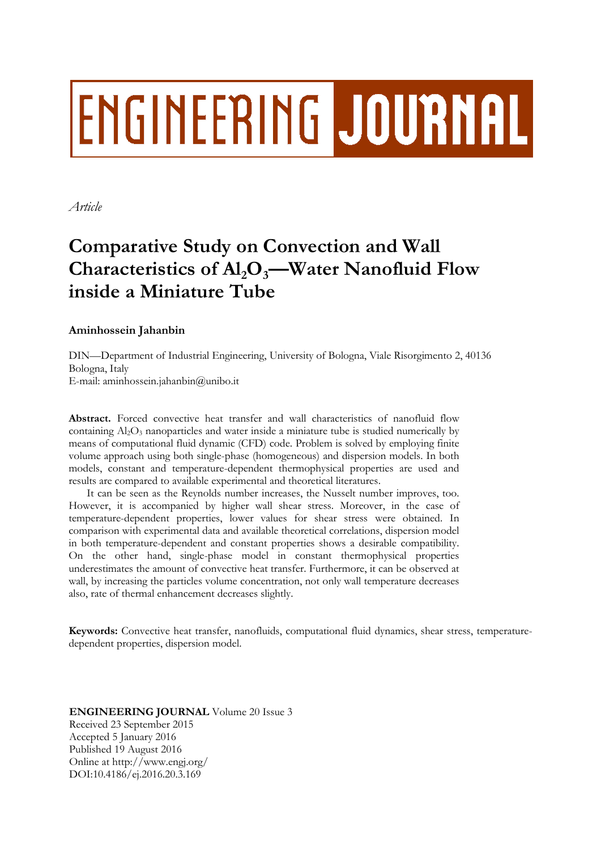# **ENGINEERING JOURNAL**

*Article*

## **Comparative Study on Convection and Wall Characteristics of Al2O3—Water Nanofluid Flow inside a Miniature Tube**

### **Aminhossein Jahanbin**

DIN—Department of Industrial Engineering, University of Bologna, Viale Risorgimento 2, 40136 Bologna, Italy E-mail: aminhossein.jahanbin@unibo.it

**Abstract.** Forced convective heat transfer and wall characteristics of nanofluid flow containing Al<sub>2</sub>O<sub>3</sub> nanoparticles and water inside a miniature tube is studied numerically by means of computational fluid dynamic (CFD) code. Problem is solved by employing finite volume approach using both single-phase (homogeneous) and dispersion models. In both models, constant and temperature-dependent thermophysical properties are used and results are compared to available experimental and theoretical literatures.

It can be seen as the Reynolds number increases, the Nusselt number improves, too. However, it is accompanied by higher wall shear stress. Moreover, in the case of temperature-dependent properties, lower values for shear stress were obtained. In comparison with experimental data and available theoretical correlations, dispersion model in both temperature-dependent and constant properties shows a desirable compatibility. On the other hand, single-phase model in constant thermophysical properties underestimates the amount of convective heat transfer. Furthermore, it can be observed at wall, by increasing the particles volume concentration, not only wall temperature decreases also, rate of thermal enhancement decreases slightly.

**Keywords:** Convective heat transfer, nanofluids, computational fluid dynamics, shear stress, temperaturedependent properties, dispersion model.

#### **ENGINEERING JOURNAL** Volume 20 Issue 3 Received 23 September 2015 Accepted 5 January 2016 Published 19 August 2016 Online at http://www.engj.org/ DOI:10.4186/ej.2016.20.3.169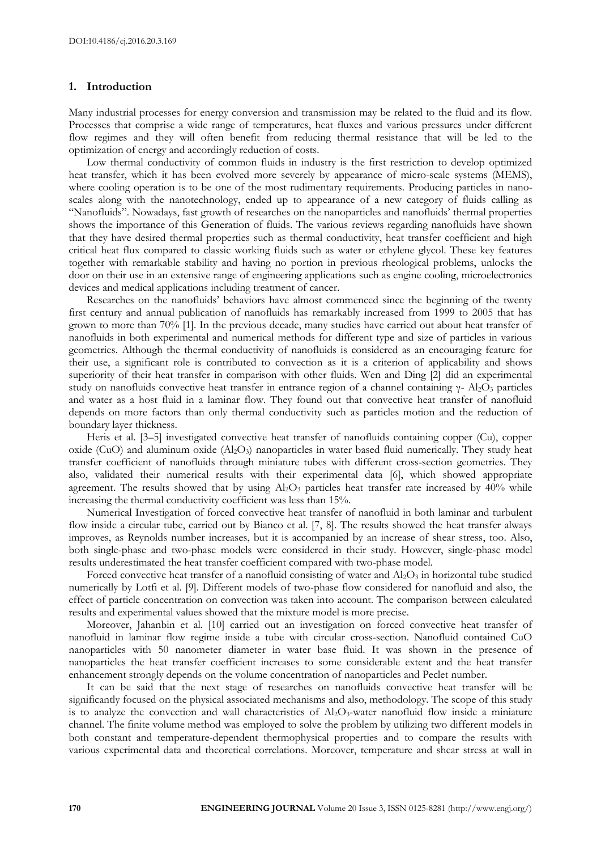#### **1. Introduction**

Many industrial processes for energy conversion and transmission may be related to the fluid and its flow. Processes that comprise a wide range of temperatures, heat fluxes and various pressures under different flow regimes and they will often benefit from reducing thermal resistance that will be led to the optimization of energy and accordingly reduction of costs.

Low thermal conductivity of common fluids in industry is the first restriction to develop optimized heat transfer, which it has been evolved more severely by appearance of micro-scale systems (MEMS), where cooling operation is to be one of the most rudimentary requirements. Producing particles in nanoscales along with the nanotechnology, ended up to appearance of a new category of fluids calling as "Nanofluids". Nowadays, fast growth of researches on the nanoparticles and nanofluids' thermal properties shows the importance of this Generation of fluids. The various reviews regarding nanofluids have shown that they have desired thermal properties such as thermal conductivity, heat transfer coefficient and high critical heat flux compared to classic working fluids such as water or ethylene glycol. These key features together with remarkable stability and having no portion in previous rheological problems, unlocks the door on their use in an extensive range of engineering applications such as engine cooling, microelectronics devices and medical applications including treatment of cancer.

Researches on the nanofluids' behaviors have almost commenced since the beginning of the twenty first century and annual publication of nanofluids has remarkably increased from 1999 to 2005 that has grown to more than 70% [1]. In the previous decade, many studies have carried out about heat transfer of nanofluids in both experimental and numerical methods for different type and size of particles in various geometries. Although the thermal conductivity of nanofluids is considered as an encouraging feature for their use, a significant role is contributed to convection as it is a criterion of applicability and shows superiority of their heat transfer in comparison with other fluids. Wen and Ding [2] did an experimental study on nanofluids convective heat transfer in entrance region of a channel containing  $\gamma$ - Al<sub>2</sub>O<sub>3</sub> particles and water as a host fluid in a laminar flow. They found out that convective heat transfer of nanofluid depends on more factors than only thermal conductivity such as particles motion and the reduction of boundary layer thickness.

Heris et al. [3–5] investigated convective heat transfer of nanofluids containing copper (Cu), copper oxide (CuO) and aluminum oxide  $(A_2O_3)$  nanoparticles in water based fluid numerically. They study heat transfer coefficient of nanofluids through miniature tubes with different cross-section geometries. They also, validated their numerical results with their experimental data [6], which showed appropriate agreement. The results showed that by using  $Al_2O_3$  particles heat transfer rate increased by 40% while increasing the thermal conductivity coefficient was less than 15%.

Numerical Investigation of forced convective heat transfer of nanofluid in both laminar and turbulent flow inside a circular tube, carried out by Bianco et al. [7, 8]. The results showed the heat transfer always improves, as Reynolds number increases, but it is accompanied by an increase of shear stress, too. Also, both single-phase and two-phase models were considered in their study. However, single-phase model results underestimated the heat transfer coefficient compared with two-phase model.

Forced convective heat transfer of a nanofluid consisting of water and  $Al_2O_3$  in horizontal tube studied numerically by Lotfi et al. [9]. Different models of two-phase flow considered for nanofluid and also, the effect of particle concentration on convection was taken into account. The comparison between calculated results and experimental values showed that the mixture model is more precise.

Moreover, Jahanbin et al. [10] carried out an investigation on forced convective heat transfer of nanofluid in laminar flow regime inside a tube with circular cross-section. Nanofluid contained CuO nanoparticles with 50 nanometer diameter in water base fluid. It was shown in the presence of nanoparticles the heat transfer coefficient increases to some considerable extent and the heat transfer enhancement strongly depends on the volume concentration of nanoparticles and Peclet number.

It can be said that the next stage of researches on nanofluids convective heat transfer will be significantly focused on the physical associated mechanisms and also, methodology. The scope of this study is to analyze the convection and wall characteristics of Al<sub>2</sub>O<sub>3</sub>-water nanofluid flow inside a miniature channel. The finite volume method was employed to solve the problem by utilizing two different models in both constant and temperature-dependent thermophysical properties and to compare the results with various experimental data and theoretical correlations. Moreover, temperature and shear stress at wall in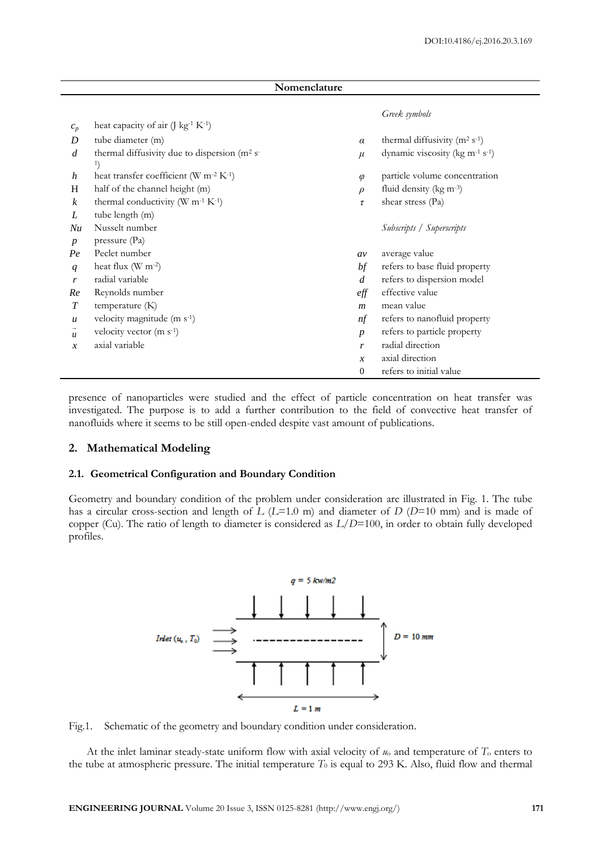| Nomenclature     |                                                                                            |                  |                                                         |  |  |  |  |
|------------------|--------------------------------------------------------------------------------------------|------------------|---------------------------------------------------------|--|--|--|--|
| $c_p$            | heat capacity of air $($ ] kg <sup>-1</sup> K <sup>-1</sup> )                              |                  | Greek symbols                                           |  |  |  |  |
| D                | tube diameter (m)                                                                          | $\alpha$         | thermal diffusivity ( $m2 s-1$ )                        |  |  |  |  |
| $\overline{d}$   | thermal diffusivity due to dispersion (m <sup>2</sup> s <sup>-</sup><br>$\left\{ \right\}$ | $\mu$            | dynamic viscosity (kg m <sup>-1</sup> s <sup>-1</sup> ) |  |  |  |  |
| h                | heat transfer coefficient (W m <sup>-2</sup> K <sup>-1</sup> )                             | $\varphi$        | particle volume concentration                           |  |  |  |  |
| H                | half of the channel height (m)                                                             | $\rho$           | fluid density (kg m-3)                                  |  |  |  |  |
| $\boldsymbol{k}$ | thermal conductivity (W $m^{-1} K^{-1}$ )                                                  | τ                | shear stress (Pa)                                       |  |  |  |  |
| L                | tube length (m)                                                                            |                  |                                                         |  |  |  |  |
| Nu               | Nusselt number                                                                             |                  | Subscripts / Superscripts                               |  |  |  |  |
| $\boldsymbol{p}$ | pressure (Pa)                                                                              |                  |                                                         |  |  |  |  |
| Pe               | Peclet number                                                                              | av               | average value                                           |  |  |  |  |
| q                | heat flux $(W m-2)$                                                                        | bf               | refers to base fluid property                           |  |  |  |  |
| r                | radial variable                                                                            | $\overline{d}$   | refers to dispersion model                              |  |  |  |  |
| Re               | Reynolds number                                                                            | $_{eff}$         | effective value                                         |  |  |  |  |
| $\boldsymbol{T}$ | temperature (K)                                                                            | $\boldsymbol{m}$ | mean value                                              |  |  |  |  |
| $\boldsymbol{u}$ | velocity magnitude $(m s-1)$                                                               | nf               | refers to nanofluid property                            |  |  |  |  |
| $\boldsymbol{u}$ | velocity vector (m s <sup>-1</sup> )                                                       | $\boldsymbol{p}$ | refers to particle property                             |  |  |  |  |
| $\mathcal{X}$    | axial variable                                                                             | r                | radial direction                                        |  |  |  |  |
|                  |                                                                                            | $\mathcal{X}$    | axial direction                                         |  |  |  |  |
|                  |                                                                                            | $\mathbf{0}$     | refers to initial value                                 |  |  |  |  |

presence of nanoparticles were studied and the effect of particle concentration on heat transfer was investigated. The purpose is to add a further contribution to the field of convective heat transfer of nanofluids where it seems to be still open-ended despite vast amount of publications.

#### **2. Mathematical Modeling**

#### **2.1. Geometrical Configuration and Boundary Condition**

Geometry and boundary condition of the problem under consideration are illustrated in Fig. 1. The tube has a circular cross-section and length of *L* (*L*=1.0 m) and diameter of *D* (*D*=10 mm) and is made of copper (Cu). The ratio of length to diameter is considered as *L/D*=100, in order to obtain fully developed profiles.



Fig.1. Schematic of the geometry and boundary condition under consideration.

At the inlet laminar steady-state uniform flow with axial velocity of *u*<sup>o</sup> and temperature of *T*<sup>o</sup> enters to the tube at atmospheric pressure. The initial temperature  $T_0$  is equal to 293 K. Also, fluid flow and thermal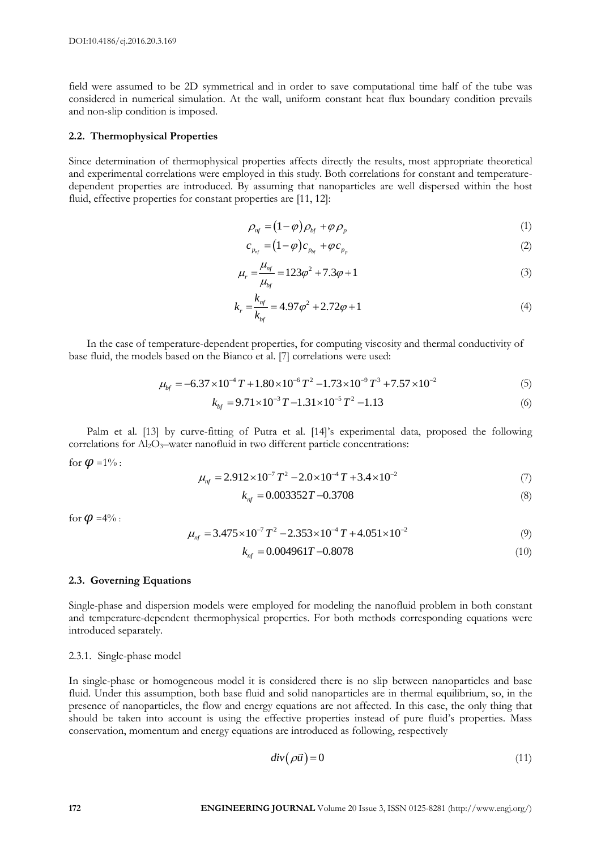field were assumed to be 2D symmetrical and in order to save computational time half of the tube was considered in numerical simulation. At the wall, uniform constant heat flux boundary condition prevails and non-slip condition is imposed.

#### **2.2. Thermophysical Properties**

Since determination of thermophysical properties affects directly the results, most appropriate theoretical and experimental correlations were employed in this study. Both correlations for constant and temperaturedependent properties are introduced. By assuming that nanoparticles are well dispersed within the host fluid, effective properties for constant properties are [11, 12]:

$$
\rho_{\rm nf} = (1 - \varphi) \rho_{\rm bf} + \varphi \rho_{\rm p} \tag{1}
$$

$$
c_{p_{nf}} = (1 - \varphi)c_{p_{bf}} + \varphi c_{p_{p}} \tag{2}
$$

$$
\mu_r = \frac{\mu_{nf}}{\mu_{bf}} = 123\varphi^2 + 7.3\varphi + 1\tag{3}
$$

$$
k_r = \frac{k_{nf}}{k_{bf}} = 4.97\varphi^2 + 2.72\varphi + 1\tag{4}
$$

In the case of temperature-dependent properties, for computing viscosity and thermal conductivity of base fluid, the models based on the Bianco et al. [7] correlations were used:<br> $\mu_{bf} = -6.37 \times 10^{-4} T + 1.80 \times 10^{-6} T^2 - 1.73 \times 10^{-9} T^3 + 7.57 \times 10^{-2}$ 

$$
\mu_{bf} = -6.37 \times 10^{-4} T + 1.80 \times 10^{-6} T^2 - 1.73 \times 10^{-9} T^3 + 7.57 \times 10^{-2}
$$
\n(5)

$$
k_{bf} = 9.71 \times 10^{-3} T - 1.31 \times 10^{-5} T^2 - 1.13
$$
 (5)  
(6)

Palm et al. [13] by curve-fitting of Putra et al. [14]'s experimental data, proposed the following correlations for Al<sub>2</sub>O<sub>3</sub>-water nanofluid in two different particle concentrations:

for  $\boldsymbol{\varphi}$  =1% :

$$
\mu_{nf} = 2.912 \times 10^{-7} T^2 - 2.0 \times 10^{-4} T + 3.4 \times 10^{-2}
$$
 (7)

$$
k_{nf} = 0.003352T - 0.3708\tag{8}
$$

for  $\boldsymbol{\varnothing}$  =4% :

$$
\mu_{nf} = 3.475 \times 10^{-7} T^2 - 2.353 \times 10^{-4} T + 4.051 \times 10^{-2}
$$
\n(9)

$$
k_{nf} = 0.004961T - 0.8078\tag{10}
$$

#### **2.3. Governing Equations**

Single-phase and dispersion models were employed for modeling the nanofluid problem in both constant and temperature-dependent thermophysical properties. For both methods corresponding equations were introduced separately.

#### 2.3.1. Single-phase model

In single-phase or homogeneous model it is considered there is no slip between nanoparticles and base fluid. Under this assumption, both base fluid and solid nanoparticles are in thermal equilibrium, so, in the presence of nanoparticles, the flow and energy equations are not affected. In this case, the only thing that should be taken into account is using the effective properties instead of pure fluid's properties. Mass conservation, momentum and energy equations are introduced as following, respectively

$$
div(\rho \vec{u}) = 0 \tag{11}
$$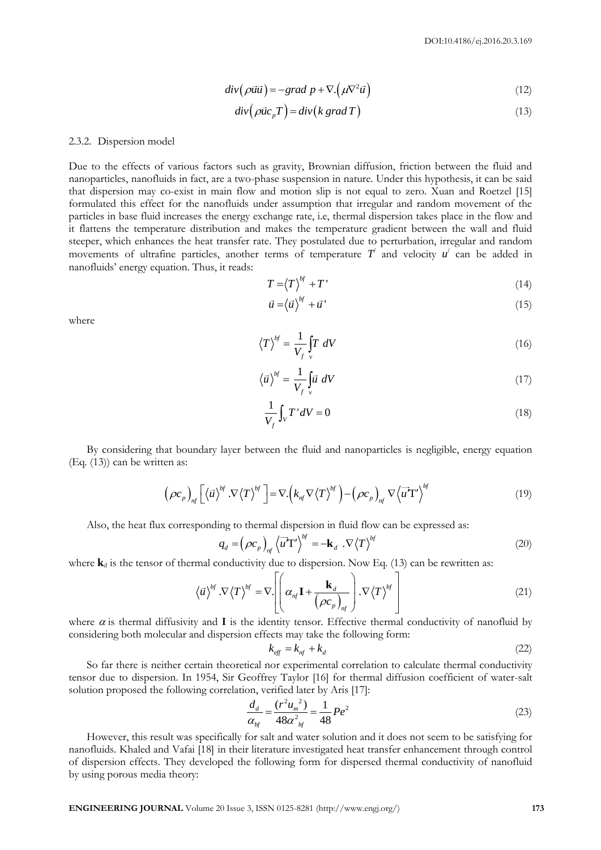$$
div(\rho \vec{u} \vec{u}) = -grad \ p + \nabla \cdot (\mu \nabla^2 \vec{u})
$$
\n(12)

$$
div(\rho \vec{u}c_p T) = div(k \text{ grad } T)
$$
\n(13)

#### 2.3.2. Dispersion model

**ENGINEERING JOURNAL VOLUME 2** (d)<br> **ENGINEERING CONSULS AND ACCOUNT CONSULS AND CONSULS AND CONSULS AND CONSULS AND CONSULS AND CONSULS ARE CONSULS AND CONSULS ARE CONSULS AND CONSULS ARE CONSULS AND CONSULS ARE CONSULS** Due to the effects of various factors such as gravity, Brownian diffusion, friction between the fluid and nanoparticles, nanofluids in fact, are a two-phase suspension in nature. Under this hypothesis, it can be said that dispersion may co-exist in main flow and motion slip is not equal to zero. Xuan and Roetzel [15] formulated this effect for the nanofluids under assumption that irregular and random movement of the particles in base fluid increases the energy exchange rate, i.e, thermal dispersion takes place in the flow and it flattens the temperature distribution and makes the temperature gradient between the wall and fluid steeper, which enhances the heat transfer rate. They postulated due to perturbation, irregular and random movements of ultrafine particles, another terms of temperature  $T'$  and velocity  $u'$  can be added in nanofluids' energy equation. Thus, it reads:

$$
T = \langle T \rangle^{bf} + T' \tag{14}
$$

$$
\vec{u} = \langle \vec{u} \rangle^{bf} + \vec{u} \tag{15}
$$

where

$$
\left\langle T\right\rangle ^{bf} = \frac{1}{V_f} \int\limits_{V} T \ dV \tag{16}
$$

$$
\langle \vec{u} \rangle^{bf} = \frac{1}{V_f} \int_{V} \vec{u} \ dV \tag{17}
$$

$$
\frac{1}{V_f} \int_V T' dV = 0 \tag{18}
$$

By considering that boundary layer between the fluid and nanoparticles is negligible, energy equation (Eq. (13)) can be written as:

ten as:  
\n
$$
\left(\rho c_p\right)_{nf} \left[\left\langle \vec{u}\right\rangle^{bf} \cdot \nabla \left\langle T\right\rangle^{bf}\right] = \nabla \left(k_{nf} \nabla \left\langle T\right\rangle^{bf}\right) - \left(\rho c_p\right)_{nf} \nabla \left\langle \vec{u}^T T'\right\rangle^{bf}
$$
\n(19)

Also, the heat flux corresponding to thermal dispersion in fluid flow can be expressed as:  
\n
$$
q_d = (\rho c_p)_{nf} \langle \vec{u}^T \vec{\mathbf{T}}' \rangle^{bf} = -\mathbf{k}_d \cdot \nabla \langle \vec{\mathbf{T}} \rangle^{bf}
$$
\n(20)

where **k**<sub>d</sub> is the tensor of thermal conductivity due to dispersion. Now Eq. (13) can be rewritten as:<br> $\begin{bmatrix} \n\cdot & \cdot & \mathbf{k} \\
\cdot & \cdot & \mathbf{k}\n\end{bmatrix}$ 

$$
\langle \vec{u} \rangle^{bf} \cdot \nabla \langle T \rangle^{bf} = \nabla \cdot \left[ \left( \alpha_{nf} \mathbf{I} + \frac{\mathbf{k}_d}{\left( \rho c_p \right)_{nf}} \right) \cdot \nabla \langle T \rangle^{bf} \right]
$$
(21)

where  $\alpha$  is thermal diffusivity and **I** is the identity tensor. Effective thermal conductivity of nanofluid by considering both molecular and dispersion effects may take the following form:

$$
k_{\text{eff}} = k_{\text{nf}} + k_d \tag{22}
$$

So far there is neither certain theoretical nor experimental correlation to calculate thermal conductivity tensor due to dispersion. In 1954, Sir Geoffrey Taylor [16] for thermal diffusion coefficient of water-salt solution proposed the following correlation, verified later by Aris [17]:

$$
\frac{d_d}{\alpha_{bf}} = \frac{(r^2 u_m^2)}{48\alpha_{bf}^2} = \frac{1}{48} P e^2
$$
\n(23)

However, this result was specifically for salt and water solution and it does not seem to be satisfying for nanofluids. Khaled and Vafai [18] in their literature investigated heat transfer enhancement through control of dispersion effects. They developed the following form for dispersed thermal conductivity of nanofluid by using porous media theory: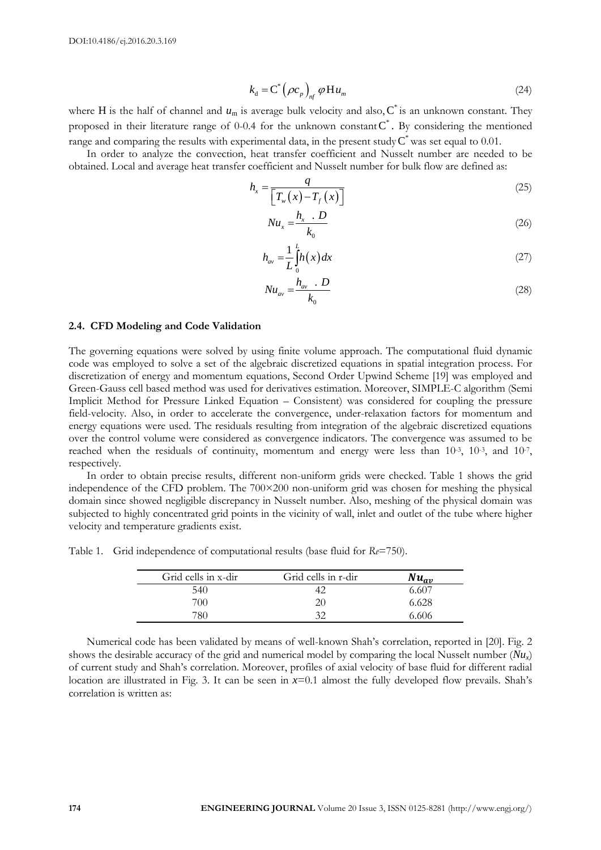$$
k_{\rm d} = \mathbf{C}^* \left( \rho c_p \right)_{n\!f} \varphi \mathbf{H} u_m \tag{24}
$$

where H is the half of channel and  $u_m$  is average bulk velocity and also,  $C^*$  is an unknown constant. They proposed in their literature range of 0-0.4 for the unknown constant  $C^*$ . By considering the mentioned range and comparing the results with experimental data, in the present study  $C^*$  was set equal to 0.01.

In order to analyze the convection, heat transfer coefficient and Nusselt number are needed to be obtained. Local and average heat transfer coefficient and Nusselt number for bulk flow are defined as:

$$
h_{x} = \frac{q}{\left[T_{w}\left(x\right) - T_{f}\left(x\right)\right]}
$$
\n<sup>(25)</sup>

$$
Nu_x = \frac{h_x \cdot D}{k_0} \tag{26}
$$

$$
h_{av} = \frac{1}{L} \int_{0}^{L} h(x) dx
$$
 (27)

$$
Nu_{av} = \frac{h_{av} \cdot D}{k_0} \tag{28}
$$

#### **2.4. CFD Modeling and Code Validation**

when His including the signal volume  $M_n \leq C(\kappa \nu_n)$ , with  $\kappa_n = C(\kappa \nu_n)$  and also, C is an minimum causar. They expressed re the furthermore causar of a this transition or entertained results with the including the cont The governing equations were solved by using finite volume approach. The computational fluid dynamic code was employed to solve a set of the algebraic discretized equations in spatial integration process. For discretization of energy and momentum equations, Second Order Upwind Scheme [19] was employed and Green-Gauss cell based method was used for derivatives estimation. Moreover, SIMPLE-C algorithm (Semi Implicit Method for Pressure Linked Equation – Consistent) was considered for coupling the pressure field-velocity. Also, in order to accelerate the convergence, under-relaxation factors for momentum and energy equations were used. The residuals resulting from integration of the algebraic discretized equations over the control volume were considered as convergence indicators. The convergence was assumed to be reached when the residuals of continuity, momentum and energy were less than  $10^{-3}$ ,  $10^{-3}$ , and  $10^{-7}$ , respectively.

In order to obtain precise results, different non-uniform grids were checked. Table 1 shows the grid independence of the CFD problem. The 700×200 non-uniform grid was chosen for meshing the physical domain since showed negligible discrepancy in Nusselt number. Also, meshing of the physical domain was subjected to highly concentrated grid points in the vicinity of wall, inlet and outlet of the tube where higher velocity and temperature gradients exist.

Table 1. Grid independence of computational results (base fluid for *Re*=750).

| Grid cells in x-dir | Grid cells in r-dir | ran,  |
|---------------------|---------------------|-------|
| 540                 |                     |       |
| 700                 | 20                  | 6.628 |
| 780-                | 20                  | 6.606 |

Numerical code has been validated by means of well-known Shah's correlation, reported in [20]. Fig. 2 shows the desirable accuracy of the grid and numerical model by comparing the local Nusselt number  $(Nu<sub>r</sub>)$ of current study and Shah's correlation. Moreover, profiles of axial velocity of base fluid for different radial location are illustrated in Fig. 3. It can be seen in *x*=0.1 almost the fully developed flow prevails. Shah's correlation is written as: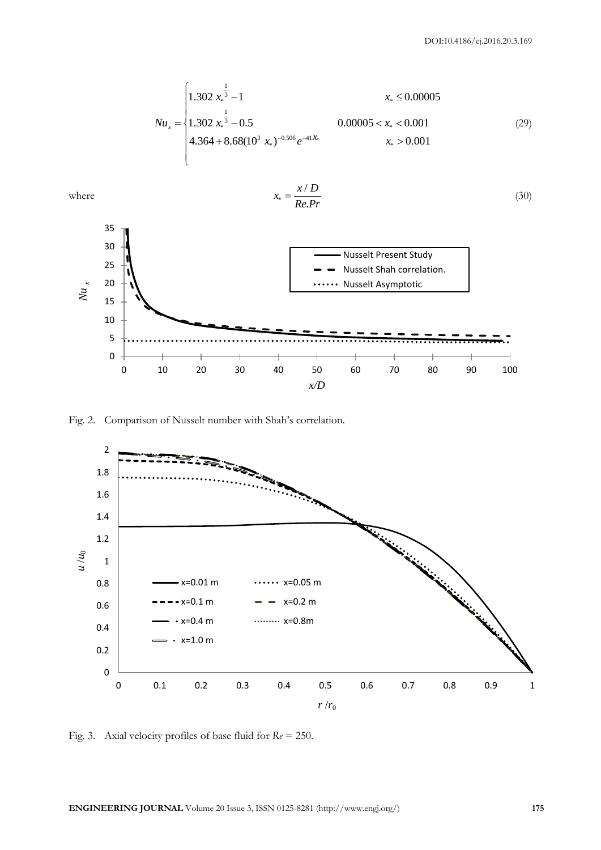$$
Nu_x = \begin{cases} 1.302 \ x_*^{\frac{1}{3}} - 1 & x_* \le 0.00005 \\ 1.302 \ x_*^{\frac{1}{3}} - 0.5 & 0.00005 < x_* < 0.001 \\ 4.364 + 8.68(10^3 \ x_*)^{-0.506} e^{-41} & x_* > 0.001 \end{cases}
$$
(29)



Fig. 2. Comparison of Nusselt number with Shah's correlation.



Fig. 3. Axial velocity profiles of base fluid for *Re* = 250.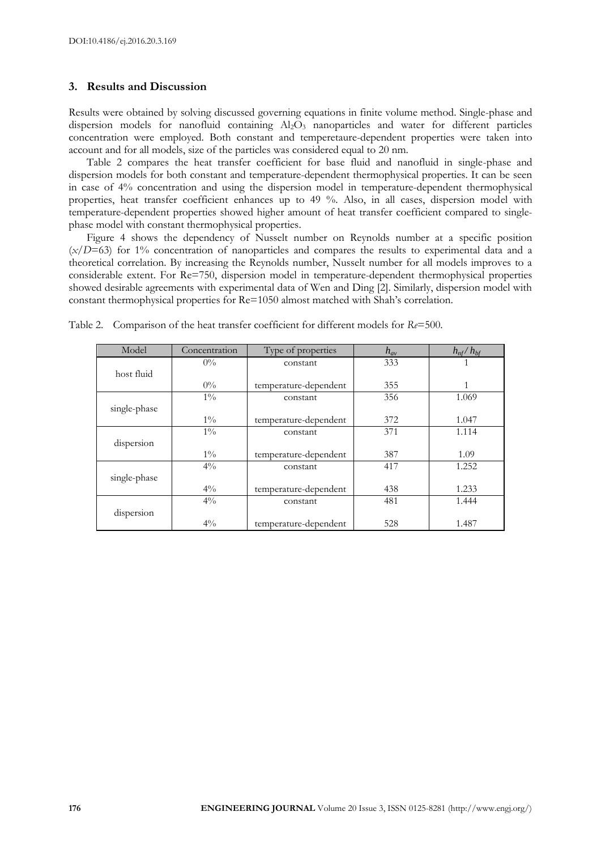#### **3. Results and Discussion**

Results were obtained by solving discussed governing equations in finite volume method. Single-phase and dispersion models for nanofluid containing Al<sub>2</sub>O<sub>3</sub> nanoparticles and water for different particles concentration were employed. Both constant and temperetaure-dependent properties were taken into account and for all models, size of the particles was considered equal to 20 nm.

Table 2 compares the heat transfer coefficient for base fluid and nanofluid in single-phase and dispersion models for both constant and temperature-dependent thermophysical properties. It can be seen in case of 4% concentration and using the dispersion model in temperature-dependent thermophysical properties, heat transfer coefficient enhances up to 49 %. Also, in all cases, dispersion model with temperature-dependent properties showed higher amount of heat transfer coefficient compared to singlephase model with constant thermophysical properties.

Figure 4 shows the dependency of Nusselt number on Reynolds number at a specific position (*x/D*=63) for 1% concentration of nanoparticles and compares the results to experimental data and a theoretical correlation. By increasing the Reynolds number, Nusselt number for all models improves to a considerable extent. For Re=750, dispersion model in temperature-dependent thermophysical properties showed desirable agreements with experimental data of Wen and Ding [2]. Similarly, dispersion model with constant thermophysical properties for Re=1050 almost matched with Shah's correlation.

| Model        | Concentration | Type of properties    | $h_{av}$ | $h_{\rm nf}/h_{\rm bf}$ |
|--------------|---------------|-----------------------|----------|-------------------------|
|              | $0\%$         | constant              | 333      |                         |
| host fluid   |               |                       |          |                         |
|              | $0\%$         | temperature-dependent | 355      |                         |
|              | $1\%$         | constant              | 356      | 1.069                   |
| single-phase |               |                       |          |                         |
|              | $1\%$         | temperature-dependent | 372      | 1.047                   |
|              | $1\%$         | constant              | 371      | 1.114                   |
| dispersion   |               |                       |          |                         |
|              | $1\%$         | temperature-dependent | 387      | 1.09                    |
|              | $4\%$         | constant              | 417      | 1.252                   |
| single-phase |               |                       |          |                         |
|              | $4\%$         | temperature-dependent | 438      | 1.233                   |
|              | $4\%$         | constant              | 481      | 1.444                   |
| dispersion   |               |                       |          |                         |
|              | $4\%$         | temperature-dependent | 528      | 1.487                   |

Table 2. Comparison of the heat transfer coefficient for different models for *Re*=500.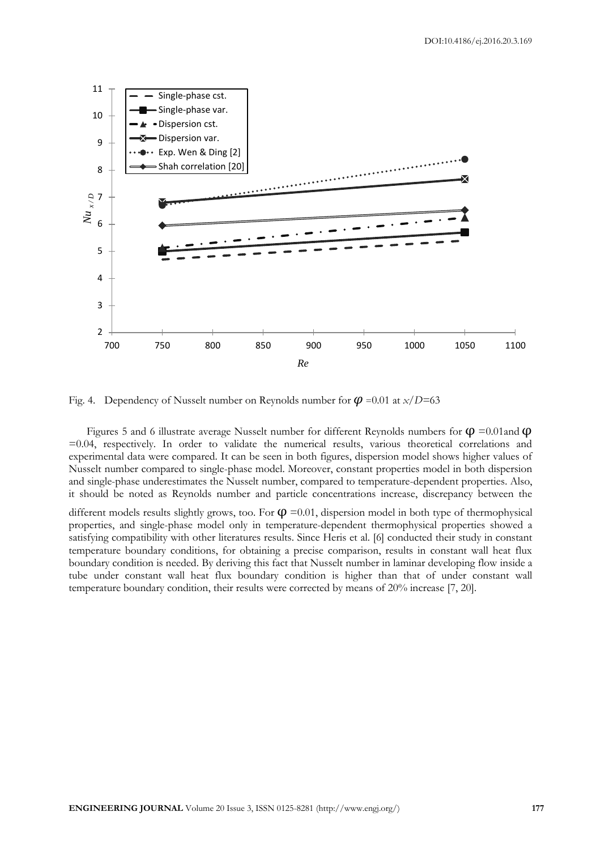

Fig. 4. Dependency of Nusselt number on Reynolds number for  $\varphi$  =0.01 at *x*/*D*=63

Figures 5 and 6 illustrate average Nusselt number for different Reynolds numbers for  $\varphi$  =0.01and  $\varphi$ =0.04, respectively. In order to validate the numerical results, various theoretical correlations and experimental data were compared. It can be seen in both figures, dispersion model shows higher values of Nusselt number compared to single-phase model. Moreover, constant properties model in both dispersion and single-phase underestimates the Nusselt number, compared to temperature-dependent properties. Also, it should be noted as Reynolds number and particle concentrations increase, discrepancy between the

different models results slightly grows, too. For  $\phi = 0.01$ , dispersion model in both type of thermophysical properties, and single-phase model only in temperature-dependent thermophysical properties showed a satisfying compatibility with other literatures results. Since Heris et al. [6] conducted their study in constant temperature boundary conditions, for obtaining a precise comparison, results in constant wall heat flux boundary condition is needed. By deriving this fact that Nusselt number in laminar developing flow inside a tube under constant wall heat flux boundary condition is higher than that of under constant wall temperature boundary condition, their results were corrected by means of 20% increase [7, 20].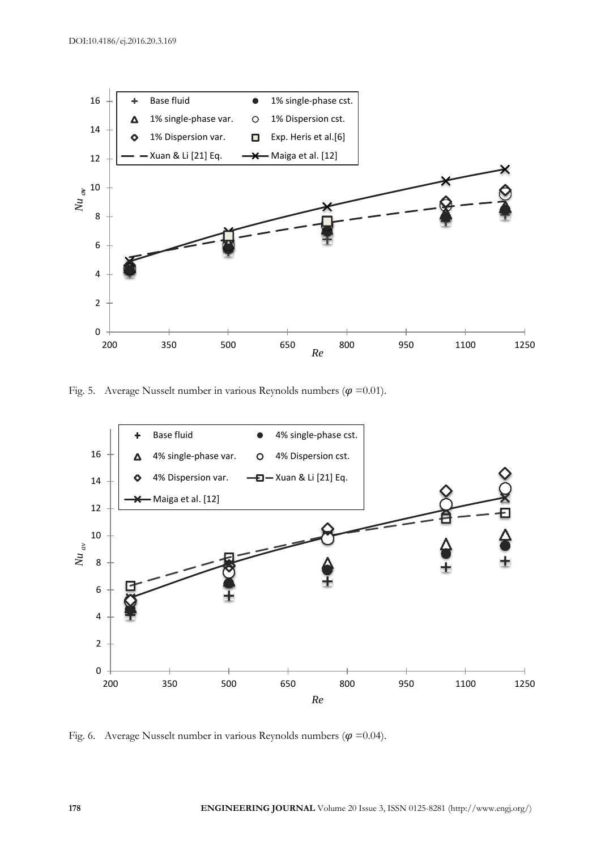

Fig. 5. Average Nusselt number in various Reynolds numbers ( $\varphi$  =0.01).



Fig. 6. Average Nusselt number in various Reynolds numbers ( $\varphi$  =0.04).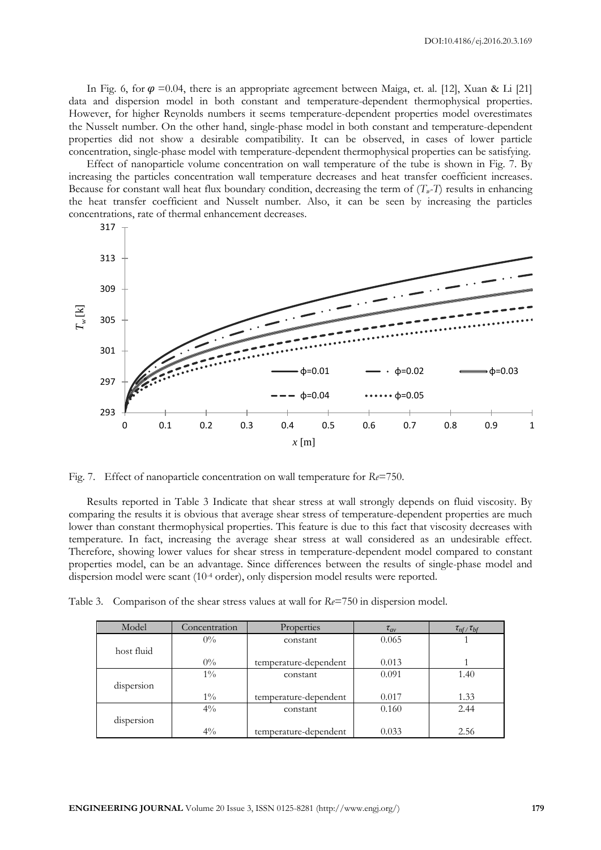In Fig. 6, for  $\varphi = 0.04$ , there is an appropriate agreement between Maiga, et. al. [12], Xuan & Li [21] data and dispersion model in both constant and temperature-dependent thermophysical properties. However, for higher Reynolds numbers it seems temperature-dependent properties model overestimates the Nusselt number. On the other hand, single-phase model in both constant and temperature-dependent properties did not show a desirable compatibility. It can be observed, in cases of lower particle concentration, single-phase model with temperature-dependent thermophysical properties can be satisfying.

Effect of nanoparticle volume concentration on wall temperature of the tube is shown in Fig. 7. By increasing the particles concentration wall temperature decreases and heat transfer coefficient increases. Because for constant wall heat flux boundary condition, decreasing the term of  $(T<sub>w</sub> - T)$  results in enhancing the heat transfer coefficient and Nusselt number. Also, it can be seen by increasing the particles concentrations, rate of thermal enhancement decreases.



Fig. 7. Effect of nanoparticle concentration on wall temperature for *Re*=750.

Results reported in Table 3 Indicate that shear stress at wall strongly depends on fluid viscosity. By comparing the results it is obvious that average shear stress of temperature-dependent properties are much lower than constant thermophysical properties. This feature is due to this fact that viscosity decreases with temperature. In fact, increasing the average shear stress at wall considered as an undesirable effect. Therefore, showing lower values for shear stress in temperature-dependent model compared to constant properties model, can be an advantage. Since differences between the results of single-phase model and dispersion model were scant  $(10<sup>4</sup> \text{ order})$ , only dispersion model results were reported.

Table 3. Comparison of the shear stress values at wall for *Re*=750 in dispersion model.

| Model      | Concentration | Properties            | $\tau_{av}$ | $\tau_{nf}/\tau_{bf}$ |
|------------|---------------|-----------------------|-------------|-----------------------|
|            | $0\%$         | constant              | 0.065       |                       |
| host fluid |               |                       |             |                       |
|            | $0\%$         | temperature-dependent | 0.013       |                       |
|            | $1\%$         | constant              | 0.091       | 1.40                  |
| dispersion |               |                       |             |                       |
|            | $1\%$         | temperature-dependent | 0.017       | 1.33                  |
|            | $4\%$         | constant              | 0.160       | 2.44                  |
| dispersion |               |                       |             |                       |
|            | $4\%$         | temperature-dependent | 0.033       | 2.56                  |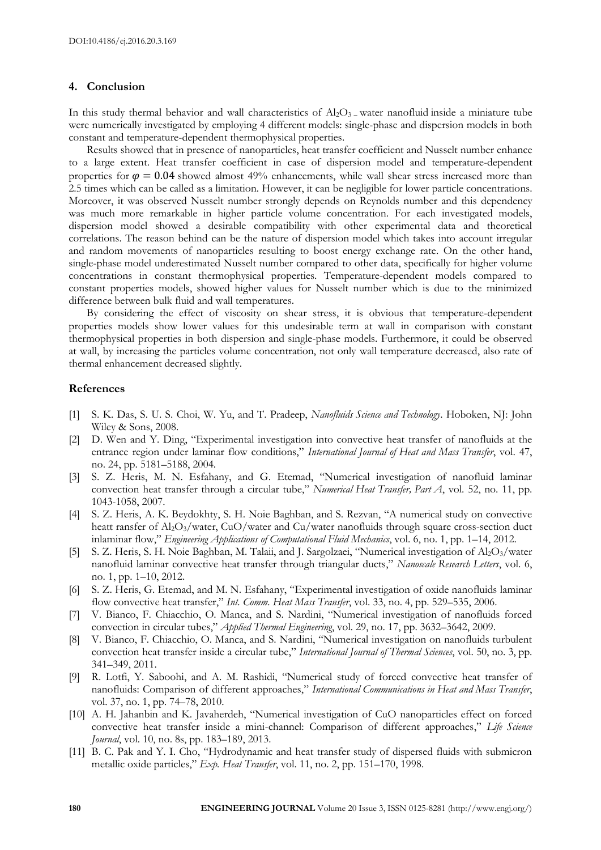#### **4. Conclusion**

In this study thermal behavior and wall characteristics of  $Al_2O_3$  – water nanofluid inside a miniature tube were numerically investigated by employing 4 different models: single-phase and dispersion models in both constant and temperature-dependent thermophysical properties.

Results showed that in presence of nanoparticles, heat transfer coefficient and Nusselt number enhance to a large extent. Heat transfer coefficient in case of dispersion model and temperature-dependent properties for  $\varphi = 0.04$  showed almost 49% enhancements, while wall shear stress increased more than 2.5 times which can be called as a limitation. However, it can be negligible for lower particle concentrations. Moreover, it was observed Nusselt number strongly depends on Reynolds number and this dependency was much more remarkable in higher particle volume concentration. For each investigated models, dispersion model showed a desirable compatibility with other experimental data and theoretical correlations. The reason behind can be the nature of dispersion model which takes into account irregular and random movements of nanoparticles resulting to boost energy exchange rate. On the other hand, single-phase model underestimated Nusselt number compared to other data, specifically for higher volume concentrations in constant thermophysical properties. Temperature-dependent models compared to constant properties models, showed higher values for Nusselt number which is due to the minimized difference between bulk fluid and wall temperatures.

By considering the effect of viscosity on shear stress, it is obvious that temperature-dependent properties models show lower values for this undesirable term at wall in comparison with constant thermophysical properties in both dispersion and single-phase models. Furthermore, it could be observed at wall, by increasing the particles volume concentration, not only wall temperature decreased, also rate of thermal enhancement decreased slightly.

#### **References**

- [1] S. K. Das, S. U. S. Choi, W. Yu, and T. Pradeep, *Nanofluids Science and Technology*. Hoboken, NJ: John Wiley & Sons, 2008.
- [2] D. Wen and Y. Ding, "Experimental investigation into convective heat transfer of nanofluids at the entrance region under laminar flow conditions," *International Journal of Heat and Mass Transfer*, vol. 47, no. 24, pp. 5181–5188, 2004.
- [3] S. Z. Heris, M. N. Esfahany, and G. Etemad, "Numerical investigation of nanofluid laminar convection heat transfer through a circular tube," *Numerical Heat Transfer, Part A*, vol. 52, no. 11, pp. 1043-1058, 2007.
- [4] S. Z. Heris, A. K. Beydokhty, S. H. Noie Baghban, and S. Rezvan, "A numerical study on convective heatt ransfer of  $A<sub>2</sub>O<sub>3</sub>/\text{water}$ , CuO/water and Cu/water nanofluids through square cross-section duct inlaminar flow," *Engineering Applications of Computational Fluid Mechanics*, vol. 6, no. 1, pp. 1–14, 2012.
- [5] S. Z. Heris, S. H. Noie Baghban, M. Talaii, and J. Sargolzaei, "Numerical investigation of Al2O3/water nanofluid laminar convective heat transfer through triangular ducts," *Nanoscale Research Letters*, vol. 6, no. 1, pp. 1–10, 2012.
- [6] S. Z. Heris, G. Etemad, and M. N. Esfahany, "Experimental investigation of oxide nanofluids laminar flow convective heat transfer," *Int. Comm. Heat Mass Transfer*, vol. 33, no. 4, pp. 529–535, 2006.
- [7] V. Bianco, F. Chiacchio, O. Manca, and S. Nardini, "Numerical investigation of nanofluids forced convection in circular tubes," *Applied Thermal Engineering*, vol. 29, no. 17, pp. 3632–3642, 2009.
- [8] V. Bianco, F. Chiacchio, O. Manca, and S. Nardini, "Numerical investigation on nanofluids turbulent convection heat transfer inside a circular tube," *International Journal of Thermal Sciences*, vol. 50, no. 3, pp. 341–349, 2011.
- [9] R. Lotfi, Y. Saboohi, and A. M. Rashidi, "Numerical study of forced convective heat transfer of nanofluids: Comparison of different approaches," *International Communications in Heat and Mass Transfer*, vol. 37, no. 1, pp. 74–78, 2010.
- [10] A. H. Jahanbin and K. Javaherdeh, "Numerical investigation of CuO nanoparticles effect on forced convective heat transfer inside a mini-channel: Comparison of different approaches," *Life Science Journal*, vol. 10, no. 8s, pp. 183–189, 2013.
- [11] B. C. Pak and Y. I. Cho, "Hydrodynamic and heat transfer study of dispersed fluids with submicron metallic oxide particles," *Exp. Heat Transfer*, vol. 11, no. 2, pp. 151–170, 1998.